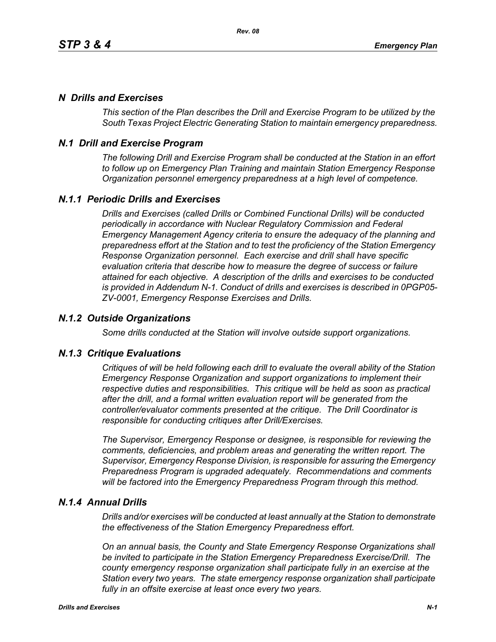# *N Drills and Exercises*

*This section of the Plan describes the Drill and Exercise Program to be utilized by the South Texas Project Electric Generating Station to maintain emergency preparedness.*

# *N.1 Drill and Exercise Program*

*The following Drill and Exercise Program shall be conducted at the Station in an effort to follow up on Emergency Plan Training and maintain Station Emergency Response Organization personnel emergency preparedness at a high level of competence.*

# *N.1.1 Periodic Drills and Exercises*

*Drills and Exercises (called Drills or Combined Functional Drills) will be conducted periodically in accordance with Nuclear Regulatory Commission and Federal Emergency Management Agency criteria to ensure the adequacy of the planning and preparedness effort at the Station and to test the proficiency of the Station Emergency Response Organization personnel. Each exercise and drill shall have specific evaluation criteria that describe how to measure the degree of success or failure attained for each objective. A description of the drills and exercises to be conducted is provided in Addendum N-1. Conduct of drills and exercises is described in 0PGP05- ZV-0001, Emergency Response Exercises and Drills.*

## *N.1.2 Outside Organizations*

*Some drills conducted at the Station will involve outside support organizations.* 

### *N.1.3 Critique Evaluations*

*Critiques of will be held following each drill to evaluate the overall ability of the Station Emergency Response Organization and support organizations to implement their respective duties and responsibilities. This critique will be held as soon as practical after the drill, and a formal written evaluation report will be generated from the controller/evaluator comments presented at the critique. The Drill Coordinator is responsible for conducting critiques after Drill/Exercises.* 

*The Supervisor, Emergency Response or designee, is responsible for reviewing the comments, deficiencies, and problem areas and generating the written report. The Supervisor, Emergency Response Division, is responsible for assuring the Emergency Preparedness Program is upgraded adequately. Recommendations and comments will be factored into the Emergency Preparedness Program through this method.* 

### *N.1.4 Annual Drills*

*Drills and/or exercises will be conducted at least annually at the Station to demonstrate the effectiveness of the Station Emergency Preparedness effort.* 

*On an annual basis, the County and State Emergency Response Organizations shall be invited to participate in the Station Emergency Preparedness Exercise/Drill. The county emergency response organization shall participate fully in an exercise at the Station every two years. The state emergency response organization shall participate fully in an offsite exercise at least once every two years.*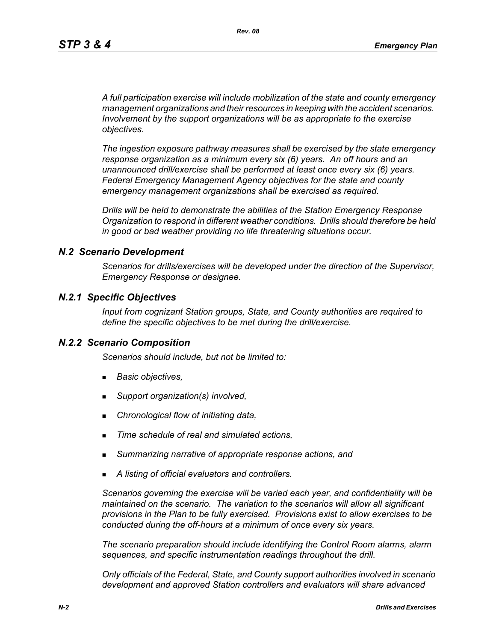*A full participation exercise will include mobilization of the state and county emergency management organizations and their resources in keeping with the accident scenarios. Involvement by the support organizations will be as appropriate to the exercise objectives.* 

*The ingestion exposure pathway measures shall be exercised by the state emergency response organization as a minimum every six (6) years. An off hours and an unannounced drill/exercise shall be performed at least once every six (6) years. Federal Emergency Management Agency objectives for the state and county emergency management organizations shall be exercised as required.*

*Drills will be held to demonstrate the abilities of the Station Emergency Response Organization to respond in different weather conditions. Drills should therefore be held in good or bad weather providing no life threatening situations occur.*

#### *N.2 Scenario Development*

*Scenarios for drills/exercises will be developed under the direction of the Supervisor, Emergency Response or designee.* 

#### *N.2.1 Specific Objectives*

*Input from cognizant Station groups, State, and County authorities are required to define the specific objectives to be met during the drill/exercise.*

#### *N.2.2 Scenario Composition*

*Scenarios should include, but not be limited to:*

- *Basic objectives,*
- *Support organization(s) involved,*
- *Chronological flow of initiating data,*
- *Time schedule of real and simulated actions,*
- *Summarizing narrative of appropriate response actions, and*
- *A listing of official evaluators and controllers.*

*Scenarios governing the exercise will be varied each year, and confidentiality will be maintained on the scenario. The variation to the scenarios will allow all significant provisions in the Plan to be fully exercised. Provisions exist to allow exercises to be conducted during the off-hours at a minimum of once every six years.*

*The scenario preparation should include identifying the Control Room alarms, alarm sequences, and specific instrumentation readings throughout the drill.*

*Only officials of the Federal, State, and County support authorities involved in scenario development and approved Station controllers and evaluators will share advanced*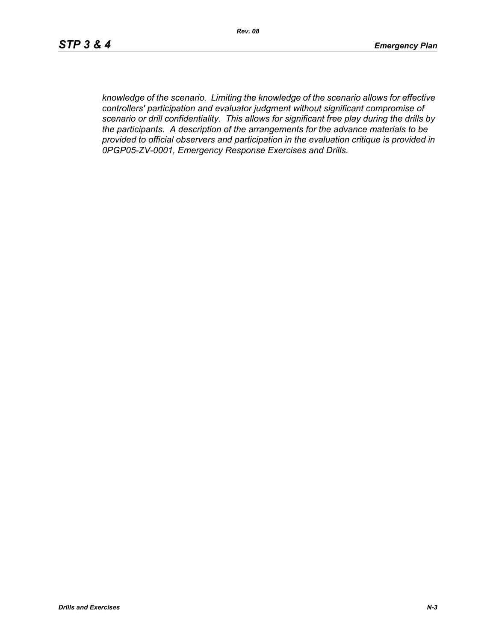*knowledge of the scenario. Limiting the knowledge of the scenario allows for effective controllers' participation and evaluator judgment without significant compromise of scenario or drill confidentiality. This allows for significant free play during the drills by the participants. A description of the arrangements for the advance materials to be provided to official observers and participation in the evaluation critique is provided in 0PGP05-ZV-0001, Emergency Response Exercises and Drills.*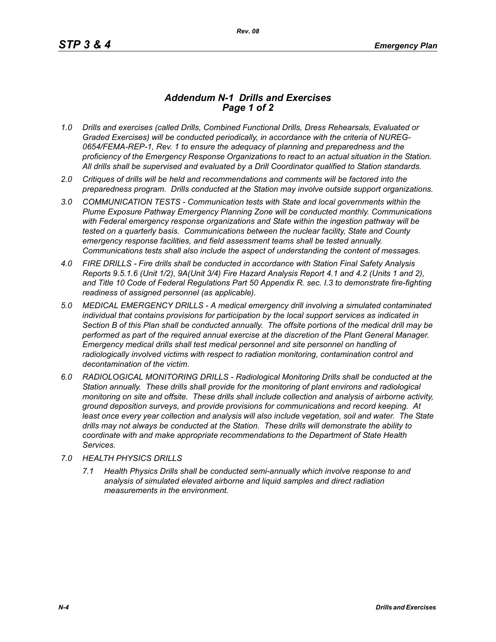## *Addendum N-1 Drills and Exercises Page 1 of 2*

- *1.0 Drills and exercises (called Drills, Combined Functional Drills, Dress Rehearsals, Evaluated or Graded Exercises) will be conducted periodically, in accordance with the criteria of NUREG-0654/FEMA-REP-1, Rev. 1 to ensure the adequacy of planning and preparedness and the proficiency of the Emergency Response Organizations to react to an actual situation in the Station. All drills shall be supervised and evaluated by a Drill Coordinator qualified to Station standards.*
- *2.0 Critiques of drills will be held and recommendations and comments will be factored into the preparedness program. Drills conducted at the Station may involve outside support organizations.*
- *3.0 COMMUNICATION TESTS Communication tests with State and local governments within the Plume Exposure Pathway Emergency Planning Zone will be conducted monthly. Communications with Federal emergency response organizations and State within the ingestion pathway will be tested on a quarterly basis. Communications between the nuclear facility, State and County emergency response facilities, and field assessment teams shall be tested annually. Communications tests shall also include the aspect of understanding the content of messages.*
- *4.0 FIRE DRILLS Fire drills shall be conducted in accordance with Station Final Safety Analysis Reports 9.5.1.6 (Unit 1/2), 9A(Unit 3/4) Fire Hazard Analysis Report 4.1 and 4.2 (Units 1 and 2), and Title 10 Code of Federal Regulations Part 50 Appendix R. sec. I.3 to demonstrate fire-fighting readiness of assigned personnel (as applicable).*
- *5.0 MEDICAL EMERGENCY DRILLS A medical emergency drill involving a simulated contaminated individual that contains provisions for participation by the local support services as indicated in Section B of this Plan shall be conducted annually. The offsite portions of the medical drill may be performed as part of the required annual exercise at the discretion of the Plant General Manager. Emergency medical drills shall test medical personnel and site personnel on handling of*  radiologically involved victims with respect to radiation monitoring, contamination control and *decontamination of the victim.*
- *6.0 RADIOLOGICAL MONITORING DRILLS Radiological Monitoring Drills shall be conducted at the Station annually. These drills shall provide for the monitoring of plant environs and radiological monitoring on site and offsite. These drills shall include collection and analysis of airborne activity, ground deposition surveys, and provide provisions for communications and record keeping. At*  least once every year collection and analysis will also include vegetation, soil and water. The State *drills may not always be conducted at the Station. These drills will demonstrate the ability to coordinate with and make appropriate recommendations to the Department of State Health Services.*
- *7.0 HEALTH PHYSICS DRILLS*
	- *7.1 Health Physics Drills shall be conducted semi-annually which involve response to and analysis of simulated elevated airborne and liquid samples and direct radiation measurements in the environment.*